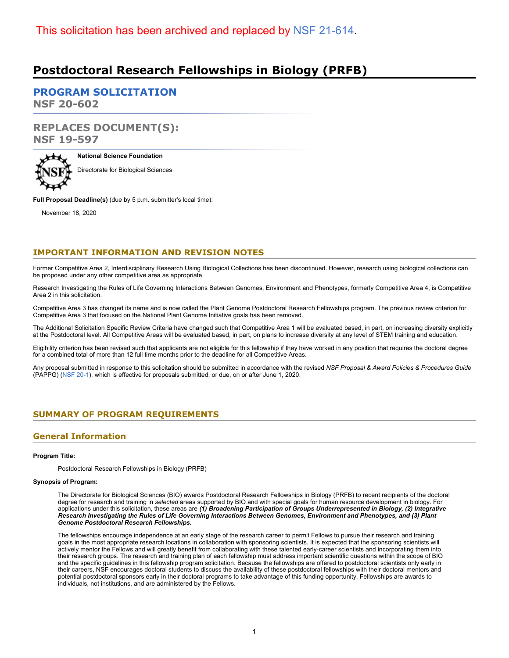# **Postdoctoral Research Fellowships in Biology (PRFB)**

**[PROGRAM SOLICITATION](#page-2-0) NSF 20-602**

# **REPLACES DOCUMENT(S): NSF 19-597**



**National Science Foundation** Directorate for Biological Sciences

**Full Proposal Deadline(s)** (due by 5 p.m. submitter's local time):

November 18, 2020

### **IMPORTANT INFORMATION AND REVISION NOTES**

Former Competitive Area 2, Interdisciplinary Research Using Biological Collections has been discontinued. However, research using biological collections can be proposed under any other competitive area as appropriate.

Research Investigating the Rules of Life Governing Interactions Between Genomes, Environment and Phenotypes, formerly Competitive Area 4, is Competitive Area 2 in this solicitation.

Competitive Area 3 has changed its name and is now called the Plant Genome Postdoctoral Research Fellowships program. The previous review criterion for Competitive Area 3 that focused on the National Plant Genome Initiative goals has been removed.

The Additional Solicitation Specific Review Criteria have changed such that Competitive Area 1 will be evaluated based, in part, on increasing diversity explicitly at the Postdoctoral level. All Competitive Areas will be evaluated based, in part, on plans to increase diversity at any level of STEM training and education.

Eligibility criterion has been revised such that applicants are not eligible for this fellowship if they have worked in any position that requires the doctoral degree for a combined total of more than 12 full time months prior to the deadline for all Competitive Areas.

Any proposal submitted in response to this solicitation should be submitted in accordance with the revised *NSF Proposal & Award Policies & Procedures Guide* (PAPPG) [\(NSF 20-1](https://www.nsf.gov/publications/pub_summ.jsp?ods_key=nsf20001&org=NSF)), which is effective for proposals submitted, or due, on or after June 1, 2020.

### <span id="page-0-0"></span>**SUMMARY OF PROGRAM REQUIREMENTS**

# **General Information**

#### **Program Title:**

Postdoctoral Research Fellowships in Biology (PRFB)

#### **Synopsis of Program:**

The Directorate for Biological Sciences (BIO) awards Postdoctoral Research Fellowships in Biology (PRFB) to recent recipients of the doctoral degree for research and training in *selected* areas supported by BIO and with special goals for human resource development in biology. For applications under this solicitation, these areas are *(1) Broadening Participation of Groups Underrepresented in Biology, (2) Integrative Research Investigating the Rules of Life Governing Interactions Between Genomes, Environment and Phenotypes, and (3) Plant Genome Postdoctoral Research Fellowships.*

The fellowships encourage independence at an early stage of the research career to permit Fellows to pursue their research and training goals in the most appropriate research locations in collaboration with sponsoring scientists. It is expected that the sponsoring scientists will actively mentor the Fellows and will greatly benefit from collaborating with these talented early-career scientists and incorporating them into their research groups. The research and training plan of each fellowship must address important scientific questions within the scope of BIO and the specific guidelines in this fellowship program solicitation. Because the fellowships are offered to postdoctoral scientists only early in their careers, NSF encourages doctoral students to discuss the availability of these postdoctoral fellowships with their doctoral mentors and potential postdoctoral sponsors early in their doctoral programs to take advantage of this funding opportunity. Fellowships are awards to individuals, not institutions, and are administered by the Fellows.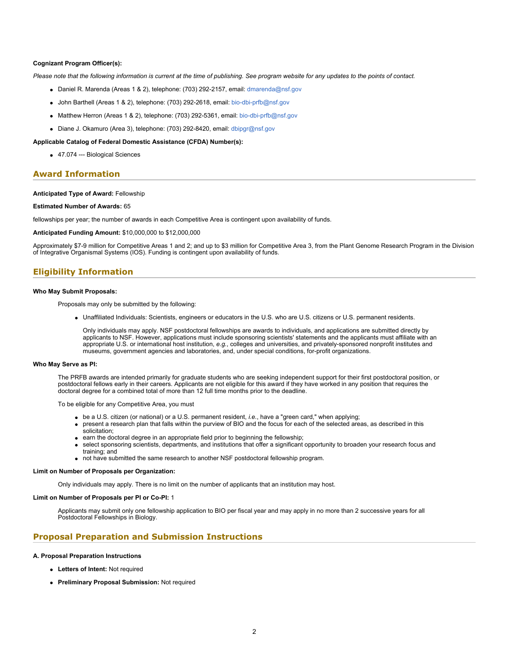#### **Cognizant Program Officer(s):**

*Please note that the following information is current at the time of publishing. See program website for any updates to the points of contact.*

- $\bullet$  Daniel R. Marenda (Areas 1 & 2), telephone: (703) 292-2157, email: [dmarenda@nsf.gov](mailto:dmarenda@nsf.gov)
- $\bullet$  John Barthell (Areas 1 & 2), telephone: (703) 292-2618, email: [bio-dbi-prfb@nsf.gov](mailto:bio-dbi-prfb@nsf.gov)
- $\bullet$  Matthew Herron (Areas 1 & 2), telephone: (703) 292-5361, email: [bio-dbi-prfb@nsf.gov](mailto:bio-dbi-prfb@nsf.gov)
- Diane J. Okamuro (Area 3), telephone: (703) 292-8420, email: [dbipgr@nsf.gov](mailto:dbipgr@nsf.gov)

#### **Applicable Catalog of Federal Domestic Assistance (CFDA) Number(s):**

47.074 --- Biological Sciences

### **Award Information**

#### **Anticipated Type of Award:** Fellowship

#### **Estimated Number of Awards:** 65

fellowships per year; the number of awards in each Competitive Area is contingent upon availability of funds.

**Anticipated Funding Amount:** \$10,000,000 to \$12,000,000

Approximately \$7-9 million for Competitive Areas 1 and 2; and up to \$3 million for Competitive Area 3, from the Plant Genome Research Program in the Division of Integrative Organismal Systems (IOS). Funding is contingent upon availability of funds.

### **Eligibility Information**

#### **Who May Submit Proposals:**

Proposals may only be submitted by the following:

Unaffiliated Individuals: Scientists, engineers or educators in the U.S. who are U.S. citizens or U.S. permanent residents.

Only individuals may apply. NSF postdoctoral fellowships are awards to individuals, and applications are submitted directly by applicants to NSF. However, applications must include sponsoring scientists' statements and the applicants must affiliate with an appropriate U.S. or international host institution, *e.g.*, colleges and universities, and privately-sponsored nonprofit institutes and museums, government agencies and laboratories, and, under special conditions, for-profit organizations.

#### **Who May Serve as PI:**

The PRFB awards are intended primarily for graduate students who are seeking independent support for their first postdoctoral position, or postdoctoral fellows early in their careers. Applicants are not eligible for this award if they have worked in any position that requires the doctoral degree for a combined total of more than 12 full time months prior to the deadline.

To be eligible for any Competitive Area, you must

- be a U.S. citizen (or national) or a U.S. permanent resident, *i.e.*, have a "green card," when applying;
- present a research plan that falls within the purview of BIO and the focus for each of the selected areas, as described in this solicitation;
- earn the doctoral degree in an appropriate field prior to beginning the fellowship;
- select sponsoring scientists, departments, and institutions that offer a significant opportunity to broaden your research focus and training; and
- not have submitted the same research to another NSF postdoctoral fellowship program.

#### **Limit on Number of Proposals per Organization:**

Only individuals may apply. There is no limit on the number of applicants that an institution may host.

#### **Limit on Number of Proposals per PI or Co-PI:** 1

Applicants may submit only one fellowship application to BIO per fiscal year and may apply in no more than 2 successive years for all Postdoctoral Fellowships in Biology.

### **Proposal Preparation and Submission Instructions**

**A. Proposal Preparation Instructions**

- **Letters of Intent:** Not required
- **Preliminary Proposal Submission:** Not required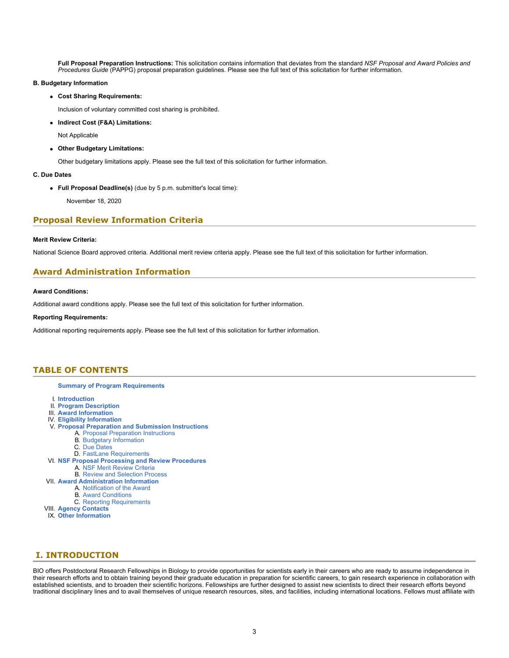**Full Proposal Preparation Instructions:** This solicitation contains information that deviates from the standard *NSF Proposal and Award Policies and Procedures Guide* (PAPPG) proposal preparation guidelines. Please see the full text of this solicitation for further information.

#### **B. Budgetary Information**

**Cost Sharing Requirements:**

Inclusion of voluntary committed cost sharing is prohibited.

**Indirect Cost (F&A) Limitations:**

Not Applicable

**Other Budgetary Limitations:**

Other budgetary limitations apply. Please see the full text of this solicitation for further information.

#### **C. Due Dates**

**Full Proposal Deadline(s)** (due by 5 p.m. submitter's local time):

November 18, 2020

### **Proposal Review Information Criteria**

#### **Merit Review Criteria:**

National Science Board approved criteria. Additional merit review criteria apply. Please see the full text of this solicitation for further information.

# **Award Administration Information**

#### **Award Conditions:**

Additional award conditions apply. Please see the full text of this solicitation for further information.

#### **Reporting Requirements:**

Additional reporting requirements apply. Please see the full text of this solicitation for further information.

### <span id="page-2-0"></span>**TABLE OF CONTENTS**

#### **[Summary of Program Requirements](#page-0-0)**

- I. **[Introduction](#page-2-1)**
- II. **[Program Description](#page-3-0)**
- III. **[Award Information](#page-4-0)**
- IV. **[Eligibility Information](#page-5-0)**
- V. **[Proposal Preparation and Submission Instructions](#page-5-1)**
	- A. [Proposal Preparation Instructions](#page-5-1)
	- B. [Budgetary Information](#page-7-0)
		- C. [Due Dates](#page-7-1)
- D. [FastLane Requirements](#page-7-2)
- VI. **[NSF Proposal Processing and Review Procedures](#page-7-3)** A. [NSF Merit Review Criteria](#page-8-0)
	- B. [Review and Selection Process](#page-8-1)
- VII. **[Award Administration Information](#page-9-0)**
	- A. [Notification of the Award](#page-9-1)
		- B. [Award Conditions](#page-9-2)
			- C. [Reporting Requirements](#page-9-3)
- VIII. **[Agency Contacts](#page-10-0)**
- IX. **[Other Information](#page-10-1)**

### <span id="page-2-1"></span>**I. INTRODUCTION**

BIO offers Postdoctoral Research Fellowships in Biology to provide opportunities for scientists early in their careers who are ready to assume independence in their research efforts and to obtain training beyond their graduate education in preparation for scientific careers, to gain research experience in collaboration with established scientists, and to broaden their scientific horizons. Fellowships are further designed to assist new scientists to direct their research efforts beyond traditional disciplinary lines and to avail themselves of unique research resources, sites, and facilities, including international locations. Fellows must affiliate with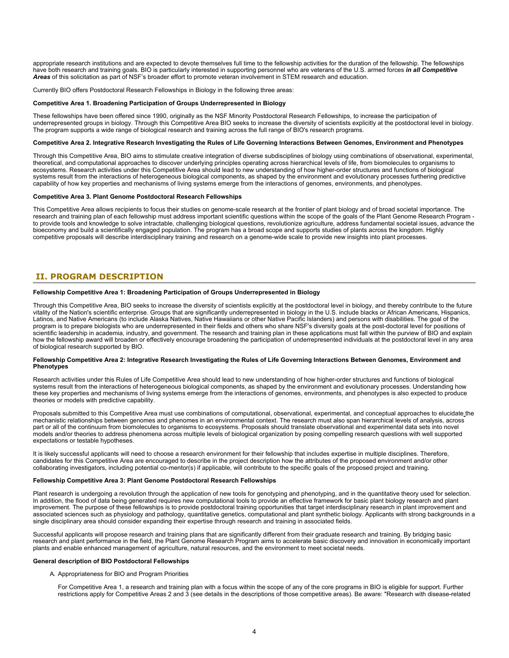appropriate research institutions and are expected to devote themselves full time to the fellowship activities for the duration of the fellowship. The fellowships have both research and training goals. BIO is particularly interested in supporting personnel who are veterans of the U.S. armed forces *in all Competitive Areas* of this solicitation as part of NSF's broader effort to promote veteran involvement in STEM research and education.

Currently BIO offers Postdoctoral Research Fellowships in Biology in the following three areas:

#### **Competitive Area 1. Broadening Participation of Groups Underrepresented in Biology**

These fellowships have been offered since 1990, originally as the NSF Minority Postdoctoral Research Fellowships, to increase the participation of underrepresented groups in biology. Through this Competitive Area BIO seeks to increase the diversity of scientists explicitly at the postdoctoral level in biology. The program supports a wide range of biological research and training across the full range of BIO's research programs.

#### **Competitive Area 2. Integrative Research Investigating the Rules of Life Governing Interactions Between Genomes, Environment and Phenotypes**

Through this Competitive Area, BIO aims to stimulate creative integration of diverse subdisciplines of biology using combinations of observational, experimental, theoretical, and computational approaches to discover underlying principles operating across hierarchical levels of life, from biomolecules to organisms to ecosystems. Research activities under this Competitive Area should lead to new understanding of how higher-order structures and functions of biological systems result from the interactions of heterogeneous biological components, as shaped by the environment and evolutionary processes furthering predictive capability of how key properties and mechanisms of living systems emerge from the interactions of genomes, environments, and phenotypes.

#### **Competitive Area 3. Plant Genome Postdoctoral Research Fellowships**

This Competitive Area allows recipients to focus their studies on genome-scale research at the frontier of plant biology and of broad societal importance. The research and training plan of each fellowship must address important scientific questions within the scope of the goals of the Plant Genome Research Program to provide tools and knowledge to solve intractable, challenging biological questions, revolutionize agriculture, address fundamental societal issues, advance the bioeconomy and build a scientifically engaged population. The program has a broad scope and supports studies of plants across the kingdom. Highly competitive proposals will describe interdisciplinary training and research on a genome-wide scale to provide new insights into plant processes.

# <span id="page-3-0"></span>**II. PROGRAM DESCRIPTION**

#### **Fellowship Competitive Area 1: Broadening Participation of Groups Underrepresented in Biology**

Through this Competitive Area, BIO seeks to increase the diversity of scientists explicitly at the postdoctoral level in biology, and thereby contribute to the future vitality of the Nation's scientific enterprise. Groups that are significantly underrepresented in biology in the U.S. include blacks or African Americans, Hispanics, Latinos, and Native Americans (to include Alaska Natives, Native Hawaiians or other Native Pacific Islanders) and persons with disabilities. The goal of the program is to prepare biologists who are underrepresented in their fields and others who share NSF's diversity goals at the post-doctoral level for positions of scientific leadership in academia, industry, and government. The research and training plan in these applications must fall within the purview of BIO and explain how the fellowship award will broaden or effectively encourage broadening the participation of underrepresented individuals at the postdoctoral level in any area of biological research supported by BIO.

#### **Fellowship Competitive Area 2: Integrative Research Investigating the Rules of Life Governing Interactions Between Genomes, Environment and Phenotypes**

Research activities under this Rules of Life Competitive Area should lead to new understanding of how higher-order structures and functions of biological systems result from the interactions of heterogeneous biological components, as shaped by the environment and evolutionary processes. Understanding how these key properties and mechanisms of living systems emerge from the interactions of genomes, environments, and phenotypes is also expected to produce theories or models with predictive capability.

Proposals submitted to this Competitive Area must use combinations of computational, observational, experimental, and conceptual approaches to elucidate the mechanistic relationships between genomes and phenomes in an environmental context. The research must also span hierarchical levels of analysis, across part or all of the continuum from biomolecules to organisms to ecosystems. Proposals should translate observational and experimental data sets into novel models and/or theories to address phenomena across multiple levels of biological organization by posing compelling research questions with well supported expectations or testable hypotheses.

It is likely successful applicants will need to choose a research environment for their fellowship that includes expertise in multiple disciplines. Therefore, candidates for this Competitive Area are encouraged to describe in the project description how the attributes of the proposed environment and/or other collaborating investigators, including potential co-mentor(s) if applicable, will contribute to the specific goals of the proposed project and training.

#### **Fellowship Competitive Area 3: Plant Genome Postdoctoral Research Fellowships**

Plant research is undergoing a revolution through the application of new tools for genotyping and phenotyping, and in the quantitative theory used for selection. In addition, the flood of data being generated requires new computational tools to provide an effective framework for basic plant biology research and plant improvement. The purpose of these fellowships is to provide postdoctoral training opportunities that target interdisciplinary research in plant improvement and associated sciences such as physiology and pathology, quantitative genetics, computational and plant synthetic biology. Applicants with strong backgrounds in a single disciplinary area should consider expanding their expertise through research and training in associated fields.

Successful applicants will propose research and training plans that are significantly different from their graduate research and training. By bridging basic research and plant performance in the field, the Plant Genome Research Program aims to accelerate basic discovery and innovation in economically important plants and enable enhanced management of agriculture, natural resources, and the environment to meet societal needs.

#### **General description of BIO Postdoctoral Fellowships**

- A. Appropriateness for BIO and Program Priorities
	- For Competitive Area 1, a research and training plan with a focus within the scope of any of the core programs in BIO is eligible for support. Further restrictions apply for Competitive Areas 2 and 3 (see details in the descriptions of those competitive areas). Be aware: "Research with disease-related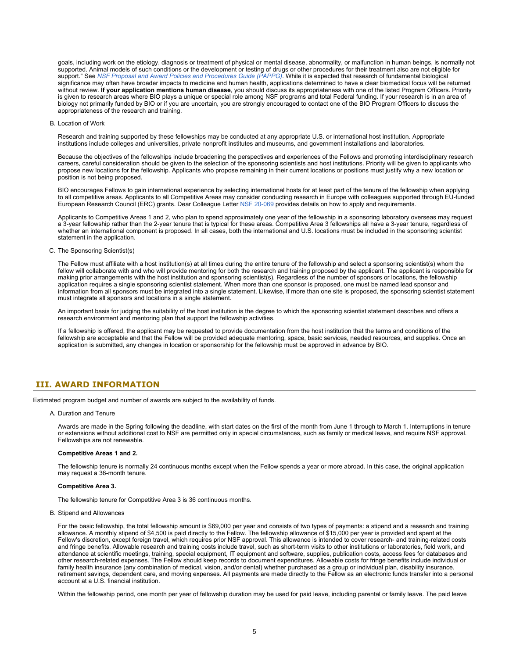goals, including work on the etiology, diagnosis or treatment of physical or mental disease, abnormality, or malfunction in human beings, is normally not supported. A[ni](https://www.nsf.gov/publications/pub_summ.jsp?ods_key=pappg)mal models of such conditions or the development or testing of drugs or other procedures for their treatment also are not eligible for support." See *[NSF Proposal and Award Policies and Procedures Guide \(PAPPG\)](https://www.nsf.gov/publications/pub_summ.jsp?ods_key=pappg)*. While it is expected that research of fundamental biological significance may often have broader impacts to medicine and human health, applications determined to have a clear biomedical focus will be returned without review. **If your application mentions human disease**, you should discuss its appropriateness with one of the listed Program Officers. Priority is given to research areas where BIO plays a unique or special role among NSF programs and total Federal funding. If your research is in an area of biology not primarily funded by BIO or if you are uncertain, you are strongly encouraged to contact one of the BIO Program Officers to discuss the appropriateness of the research and training.

#### B. Location of Work

Research and training supported by these fellowships may be conducted at any appropriate U.S. or international host institution. Appropriate institutions include colleges and universities, private nonprofit institutes and museums, and government installations and laboratories.

Because the objectives of the fellowships include broadening the perspectives and experiences of the Fellows and promoting interdisciplinary research careers, careful consideration should be given to the selection of the sponsoring scientists and host institutions. Priority will be given to applicants who propose new locations for the fellowship. Applicants who propose remaining in their current locations or positions must justify why a new location or position is not being proposed.

BIO encourages Fellows to gain international experience by selecting international hosts for at least part of the tenure of the fellowship when applying to all competitive areas. Applicants to all Competitive Areas may consider conducting research in Europe with colleagues supported through EU-funded European Research Council (ERC) grants. Dear Colleague Letter [NSF 20-069](https://www.nsf.gov/publications/pub_summ.jsp?ods_key=nsf20069) provides details on how to apply and requirements.

Applicants to Competitive Areas 1 and 2, who plan to spend approximately one year of the fellowship in a sponsoring laboratory overseas may request a 3-year fellowship rather than the 2-year tenure that is typical for these areas. Competitive Area 3 fellowships all have a 3-year tenure, regardless of whether an international component is proposed. In all cases, both the international and U.S. locations must be included in the sponsoring scientist statement in the application.

#### C. The Sponsoring Scientist(s)

The Fellow must affiliate with a host institution(s) at all times during the entire tenure of the fellowship and select a sponsoring scientist(s) whom the fellow will collaborate with and who will provide mentoring for both the research and training proposed by the applicant. The applicant is responsible for making prior arrangements with the host institution and sponsoring scientist(s). Regardless of the number of sponsors or locations, the fellowship application requires a single sponsoring scientist statement. When more than one sponsor is proposed, one must be named lead sponsor and information from all sponsors must be integrated into a single statement. Likewise, if more than one site is proposed, the sponsoring scientist statement must integrate all sponsors and locations in a single statement.

An important basis for judging the suitability of the host institution is the degree to which the sponsoring scientist statement describes and offers a research environment and mentoring plan that support the fellowship activities.

If a fellowship is offered, the applicant may be requested to provide documentation from the host institution that the terms and conditions of the fellowship are acceptable and that the Fellow will be provided adequate mentoring, space, basic services, needed resources, and supplies. Once an application is submitted, any changes in location or sponsorship for the fellowship must be approved in advance by BIO.

### <span id="page-4-0"></span>**III. AWARD INFORMATION**

Estimated program budget and number of awards are subject to the availability of funds.

A. Duration and Tenure

Awards are made in the Spring following the deadline, with start dates on the first of the month from June 1 through to March 1. Interruptions in tenure or extensions without additional cost to NSF are permitted only in special circumstances, such as family or medical leave, and require NSF approval. Fellowships are not renewable.

#### **Competitive Areas 1 and 2.**

The fellowship tenure is normally 24 continuous months except when the Fellow spends a year or more abroad. In this case, the original application may request a 36-month tenure.

#### **Competitive Area 3.**

The fellowship tenure for Competitive Area 3 is 36 continuous months.

B. Stipend and Allowances

For the basic fellowship, the total fellowship amount is \$69,000 per year and consists of two types of payments: a stipend and a research and training allowance. A monthly stipend of \$4,500 is paid directly to the Fellow. The fellowship allowance of \$15,000 per year is provided and spent at the Fellow's discretion, except foreign travel, which requires prior NSF approval. This allowance is intended to cover research- and training-related costs and fringe benefits. Allowable research and training costs include travel, such as short-term visits to other institutions or laboratories, field work, and attendance at scientific meetings, training, special equipment, IT equipment and software, supplies, publication costs, access fees for databases and other research-related expenses. The Fellow should keep records to document expenditures. Allowable costs for fringe benefits include individual or family health insurance (any combination of medical, vision, and/or dental) whether purchased as a group or individual plan, disability insurance, retirement savings, dependent care, and moving expenses. All payments are made directly to the Fellow as an electronic funds transfer into a personal account at a U.S. financial institution.

Within the fellowship period, one month per year of fellowship duration may be used for paid leave, including parental or family leave. The paid leave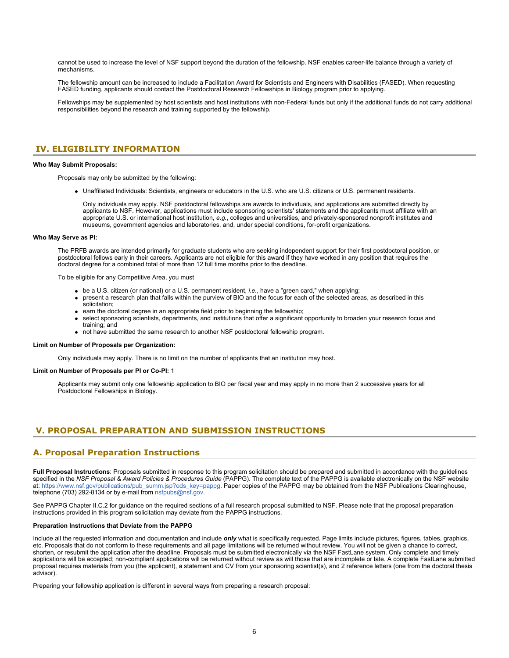cannot be used to increase the level of NSF support beyond the duration of the fellowship. NSF enables career-life balance through a variety of mechanisms.

The fellowship amount can be increased to include a Facilitation Award for Scientists and Engineers with Disabilities (FASED). When requesting FASED funding, applicants should contact the Postdoctoral Research Fellowships in Biology program prior to applying.

Fellowships may be supplemented by host scientists and host institutions with non-Federal funds but only if the additional funds do not carry additional responsibilities beyond the research and training supported by the fellowship.

### <span id="page-5-0"></span>**IV. ELIGIBILITY INFORMATION**

#### **Who May Submit Proposals:**

Proposals may only be submitted by the following:

Unaffiliated Individuals: Scientists, engineers or educators in the U.S. who are U.S. citizens or U.S. permanent residents.

Only individuals may apply. NSF postdoctoral fellowships are awards to individuals, and applications are submitted directly by applicants to NSF. However, applications must include sponsoring scientists' statements and the applicants must affiliate with an appropriate U.S. or international host institution, *e.g.*, colleges and universities, and privately-sponsored nonprofit institutes and museums, government agencies and laboratories, and, under special conditions, for-profit organizations.

#### **Who May Serve as PI:**

The PRFB awards are intended primarily for graduate students who are seeking independent support for their first postdoctoral position, or postdoctoral fellows early in their careers. Applicants are not eligible for this award if they have worked in any position that requires the doctoral degree for a combined total of more than 12 full time months prior to the deadline.

To be eligible for any Competitive Area, you must

- be a U.S. citizen (or national) or a U.S. permanent resident, *i.e.*, have a "green card," when applying;
- present a research plan that falls within the purview of BIO and the focus for each of the selected areas, as described in this solicitation;
- earn the doctoral degree in an appropriate field prior to beginning the fellowship;
- select sponsoring scientists, departments, and institutions that offer a significant opportunity to broaden your research focus and training; and
- not have submitted the same research to another NSF postdoctoral fellowship program.

#### **Limit on Number of Proposals per Organization:**

Only individuals may apply. There is no limit on the number of applicants that an institution may host.

#### **Limit on Number of Proposals per PI or Co-PI:** 1

Applicants may submit only one fellowship application to BIO per fiscal year and may apply in no more than 2 successive years for all Postdoctoral Fellowships in Biology.

### <span id="page-5-1"></span>**V. PROPOSAL PREPARATION AND SUBMISSION INSTRUCTIONS**

### **A. Proposal Preparation Instructions**

**Full Proposal Instructions**: Proposals submitted in response to this program solicitation should be prepared and submitted in accordance with the guidelines specified in the *NSF Proposal & Award Policies & Procedures Guide* (PAPPG). The complete text of the PAPPG is available electronically on the NSF website at: [https://www.nsf.gov/publications/pub\\_summ.jsp?ods\\_key=pappg](https://www.nsf.gov/publications/pub_summ.jsp?ods_key=pappg). Paper copies of the PAPPG may be obtained from the NSF Publications Clearinghouse, telephone (703) 292-8134 or by e-mail from [nsfpubs@nsf.gov](mailto:nsfpubs@nsf.gov).

See PAPPG Chapter II.C.2 for guidance on the required sections of a full research proposal submitted to NSF. Please note that the proposal preparation instructions provided in this program solicitation may deviate from the PAPPG instructions.

#### **Preparation Instructions that Deviate from the PAPPG**

Include all the requested information and documentation and include *only* what is specifically requested. Page limits include pictures, figures, tables, graphics, etc. Proposals that do not conform to these requirements and all page limitations will be returned without review. You will not be given a chance to correct, shorten, or resubmit the application after the deadline. Proposals must be submitted electronically via the NSF FastLane system. Only complete and timely applications will be accepted; non-compliant applications will be returned without review as will those that are incomplete or late. A complete FastLane submitted proposal requires materials from you (the applicant), a statement and CV from your sponsoring scientist(s), and 2 reference letters (one from the doctoral thesis advisor).

Preparing your fellowship application is different in several ways from preparing a research proposal: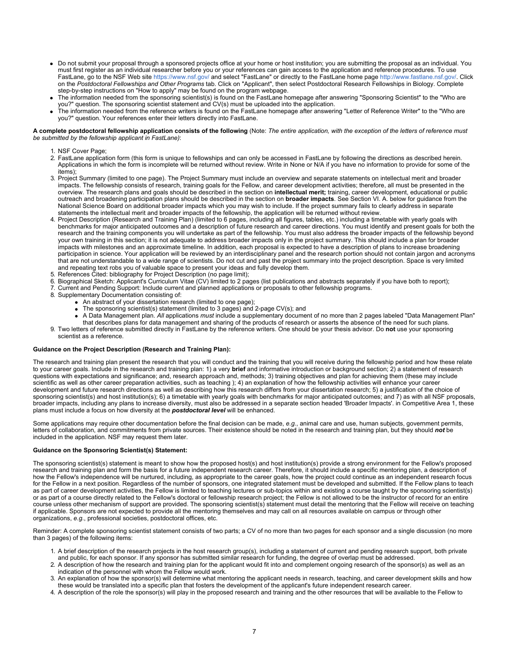- Do not submit your proposal through a sponsored projects office at your home or host institution; you are submitting the proposal as an individual. You must first register as an individual researcher before you or your references can gain access to the application and reference procedures. To use FastLane, go to the NSF Web site <https://www.nsf.gov/>and select "FastLane" or directly to the FastLane home page<http://www.fastlane.nsf.gov/>. Click on the *Postdoctoral Fellowships and Other Programs* tab. Click on "Applicant", then select Postdoctoral Research Fellowships in Biology. Complete step-by-step instructions on "How to apply" may be found on the program webpage.
- The information needed from the sponsoring scientist(s) is found on the FastLane homepage after answering "Sponsoring Scientist" to the "Who are you?" question. The sponsoring scientist statement and CV(s) must be uploaded into the application.
- The information needed from the reference writers is found on the FastLane homepage after answering "Letter of Reference Writer" to the "Who are you?" question. Your references enter their letters directly into FastLane.

#### **A complete postdoctoral fellowship application consists of the following** (Note: *The entire application, with the exception of the letters of reference must be submitted by the fellowship applicant in FastLane)*:

- 1. NSF Cover Page;
- 2. FastLane application form (this form is unique to fellowships and can only be accessed in FastLane by following the directions as described herein. Applications in which the form is incomplete will be returned without review. Write in None or N/A if you have no information to provide for some of the items);
- 3. Project Summary (limited to one page). The Project Summary must include an overview and separate statements on intellectual merit and broader impacts. The fellowship consists of research, training goals for the Fellow, and career development activities; therefore, all must be presented in the overview. The research plans and goals should be described in the section on **intellectual merit;** training, career development, educational or public outreach and broadening participation plans should be described in the section on **broader impacts**. See Section VI. A. below for guidance from the National Science Board on additional broader impacts which you may wish to include. If the project summary fails to clearly address in separate statements the intellectual merit and broader impacts of the fellowship, the application will be returned without review.
- 4. Project Description (Research and Training Plan) (limited to 6 pages, including all figures, tables, etc.) including a timetable with yearly goals with benchmarks for major anticipated outcomes and a description of future research and career directions. You must identify and present goals for both the research and the training components you will undertake as part of the fellowship. You must also address the broader impacts of the fellowship beyond your own training in this section; it is not adequate to address broader impacts only in the project summary. This should include a plan for broader impacts with milestones and an approximate timeline. In addition, each proposal is expected to have a description of plans to increase broadening participation in science. Your application will be reviewed by an interdisciplinary panel and the research portion should not contain jargon and acronyms that are not understandable to a wide range of scientists. Do not cut and past the project summary into the project description. Space is very limited and repeating text robs you of valuable space to present your ideas and fully develop them.
- 5. References Cited: bibliography for Project Description (no page limit);
- 6. Biographical Sketch: Applicant's Curriculum Vitae (CV) limited to 2 pages (list publications and abstracts separately if you have both to report);
- 7. Current and Pending Support: Include current and planned applications or proposals to other fellowship programs.
- 8. Supplementary Documentation consisting of:
	- An abstract of your dissertation research (limited to one page);
	- The sponsoring scientist(s) statement (limited to 3 pages) and 2-page CV(s); and
	- A Data Management plan. *All* applications *must* include a supplementary document of no more than 2 pages labeled "Data Management Plan" that describes plans for data management and sharing of the products of research or asserts the absence of the need for such plans.
- 9. Two letters of reference submitted directly in FastLane by the reference writers. One should be your thesis advisor. Do **not** use your sponsoring scientist as a reference.

#### **Guidance on the Project Description (Research and Training Plan):**

The research and training plan present the research that you will conduct and the training that you will receive during the fellowship period and how these relate to your career goals. Include in the research and training plan: 1) a very **brief** and informative introduction or background section; 2) a statement of research questions with expectations and significance; and, research approach and, methods; 3) training objectives and plan for achieving them (these may include scientific as well as other career preparation activities, such as teaching ); 4) an explanation of how the fellowship activities will enhance your career development and future research directions as well as describing how this research differs from your dissertation research; 5) a justification of the choice of sponsoring scientist(s) and host institution(s); 6) a timetable with yearly goals with benchmarks for major anticipated outcomes; and 7) as with all NSF proposals, broader impacts, including any plans to increase diversity, must also be addressed in a separate section headed 'Broader Impacts'. in Competitive Area 1, these plans must include a focus on how diversity at the *postdoctoral level* will be enhanced.

Some applications may require other documentation before the final decision can be made, *e.g.*, animal care and use, human subjects, government permits, letters of collaboration, and commitments from private sources. Their existence should be noted in the research and training plan, but they should *not* be included in the application. NSF may request them later.

#### **Guidance on the Sponsoring Scientist(s) Statement:**

The sponsoring scientist(s) statement is meant to show how the proposed host(s) and host institution(s) provide a strong environment for the Fellow's proposed research and training plan and form the basis for a future independent research career. Therefore, it should include a specific mentoring plan, a description of how the Fellow's independence will be nurtured, including, as appropriate to the career goals, how the project could continue as an independent research focus for the Fellow in a next position. Regardless of the number of sponsors, one integrated statement must be developed and submitted. If the Fellow plans to teach as part of career development activities, the Fellow is limited to teaching lectures or sub-topics within and existing a course taught by the sponsoring scientist(s) or as part of a course directly related to the Fellow's doctoral or fellowship research project; the Fellow is not allowed to be the instructor of record for an entire course unless other mechanism of support are provided. The sponsoring scientist(s) statement must detail the mentoring that the Fellow will receive on teaching if applicable. Sponsors are not expected to provide all the mentoring themselves and may call on all resources available on campus or through other organizations, *e.g*., professional societies, postdoctoral offices, etc.

Reminder: A complete sponsoring scientist statement consists of two parts; a CV of no more than two pages for each sponsor and a single discussion (no more than 3 pages) of the following items:

- 1. A brief description of the research projects in the host research group(s), including a statement of current and pending research support, both private and public, for each sponsor. If any sponsor has submitted similar research for funding, the degree of overlap must be addressed.
- 2. A description of how the research and training plan for the applicant would fit into and complement ongoing research of the sponsor(s) as well as an indication of the personnel with whom the Fellow would work.
- 3. An explanation of how the sponsor(s) will determine what mentoring the applicant needs in research, teaching, and career development skills and how these would be translated into a specific plan that fosters the development of the applicant's future independent research career.
- 4. A description of the role the sponsor(s) will play in the proposed research and training and the other resources that will be available to the Fellow to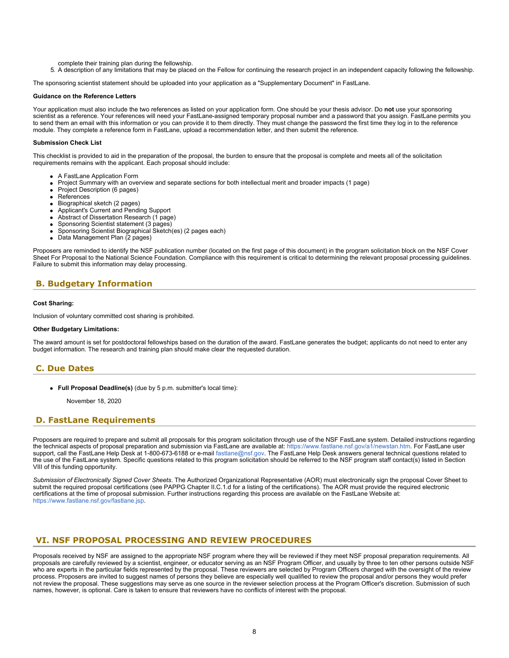- complete their training plan during the fellowship.
- 5. A description of any limitations that may be placed on the Fellow for continuing the research project in an independent capacity following the fellowship.

The sponsoring scientist statement should be uploaded into your application as a "Supplementary Document" in FastLane.

#### **Guidance on the Reference Letters**

Your application must also include the two references as listed on your application form. One should be your thesis advisor. Do **not** use your sponsoring scientist as a reference. Your references will need your FastLane-assigned temporary proposal number and a password that you assign. FastLane permits you to send them an email with this information or you can provide it to them directly. They must change the password the first time they log in to the reference module. They complete a reference form in FastLane, upload a recommendation letter, and then submit the reference.

#### **Submission Check List**

This checklist is provided to aid in the preparation of the proposal, the burden to ensure that the proposal is complete and meets all of the solicitation requirements remains with the applicant. Each proposal should include:

- A FastLane Application Form
- Project Summary with an overview and separate sections for both intellectual merit and broader impacts (1 page)
- Project Description (6 pages)
- References
- Biographical sketch (2 pages)
- Applicant's Current and Pending Support
- Abstract of Dissertation Research (1 page)
- Sponsoring Scientist statement (3 pages)
- Sponsoring Scientist Biographical Sketch(es) (2 pages each)
- Data Management Plan (2 pages)

Proposers are reminded to identify the NSF publication number (located on the first page of this document) in the program solicitation block on the NSF Cover Sheet For Proposal to the National Science Foundation. Compliance with this requirement is critical to determining the relevant proposal processing guidelines. Failure to submit this information may delay processing.

### <span id="page-7-0"></span>**B. Budgetary Information**

#### **Cost Sharing:**

Inclusion of voluntary committed cost sharing is prohibited.

#### **Other Budgetary Limitations:**

The award amount is set for postdoctoral fellowships based on the duration of the award. FastLane generates the budget; applicants do not need to enter any budget information. The research and training plan should make clear the requested duration.

### <span id="page-7-1"></span>**C. Due Dates**

**Full Proposal Deadline(s)** (due by 5 p.m. submitter's local time):

November 18, 2020

### <span id="page-7-2"></span>**D. FastLane Requirements**

Proposers are required to prepare and submit all proposals for this program solicitation through use of the NSF FastLane system. Detailed instructions regarding the technical aspects of proposal preparation and submission via FastLane are available at:<https://www.fastlane.nsf.gov/a1/newstan.htm>. For FastLane user support, call the FastLane Help Desk at 1-800-673-6188 or e-mail [fastlane@nsf.gov.](mailto:fastlane@nsf.gov) The FastLane Help Desk answers general technical questions related to the use of the FastLane system. Specific questions related to this program solicitation should be referred to the NSF program staff contact(s) listed in Section VIII of this funding opportunity.

*Submission of Electronically Signed Cover Sheets*. The Authorized Organizational Representative (AOR) must electronically sign the proposal Cover Sheet to submit the required proposal certifications (see PAPPG Chapter II.C.1.d for a listing of the certifications). The AOR must provide the required electronic certifications at the time of proposal submission. Further instructions regarding this process are available on the FastLane Website at: <https://www.fastlane.nsf.gov/fastlane.jsp>.

### <span id="page-7-3"></span>**VI. NSF PROPOSAL PROCESSING AND REVIEW PROCEDURES**

Proposals received by NSF are assigned to the appropriate NSF program where they will be reviewed if they meet NSF proposal preparation requirements. All proposals are carefully reviewed by a scientist, engineer, or educator serving as an NSF Program Officer, and usually by three to ten other persons outside NSF who are experts in the particular fields represented by the proposal. These reviewers are selected by Program Officers charged with the oversight of the review process. Proposers are invited to suggest names of persons they believe are especially well qualified to review the proposal and/or persons they would prefer not review the proposal. These suggestions may serve as one source in the reviewer selection process at the Program Officer's discretion. Submission of such names, however, is optional. Care is taken to ensure that reviewers have no conflicts of interest with the proposal.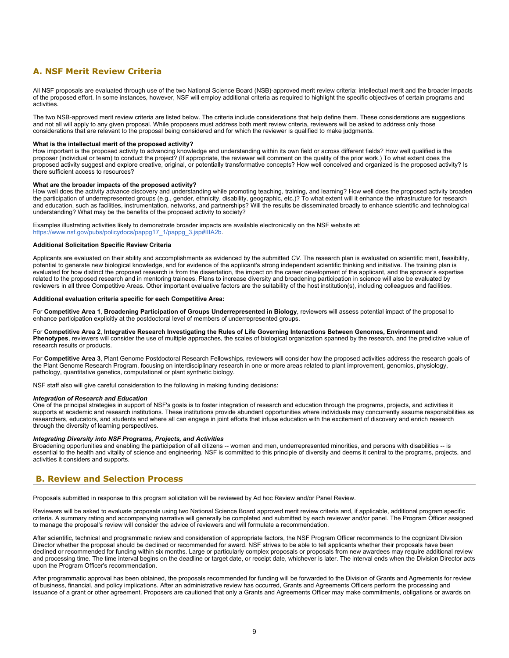# <span id="page-8-0"></span>**A. NSF Merit Review Criteria**

All NSF proposals are evaluated through use of the two National Science Board (NSB)-approved merit review criteria: intellectual merit and the broader impacts of the proposed effort. In some instances, however, NSF will employ additional criteria as required to highlight the specific objectives of certain programs and activities.

The two NSB-approved merit review criteria are listed below. The criteria include considerations that help define them. These considerations are suggestions and not all will apply to any given proposal. While proposers must address both merit review criteria, reviewers will be asked to address only those considerations that are relevant to the proposal being considered and for which the reviewer is qualified to make judgments.

#### **What is the intellectual merit of the proposed activity?**

How important is the proposed activity to advancing knowledge and understanding within its own field or across different fields? How well qualified is the proposer (individual or team) to conduct the project? (If appropriate, the reviewer will comment on the quality of the prior work.) To what extent does the proposed activity suggest and explore creative, original, or potentially transformative concepts? How well conceived and organized is the proposed activity? Is there sufficient access to resources?

#### **What are the broader impacts of the proposed activity?**

How well does the activity advance discovery and understanding while promoting teaching, training, and learning? How well does the proposed activity broaden the participation of underrepresented groups (e.g., gender, ethnicity, disability, geographic, etc.)? To what extent will it enhance the infrastructure for research and education, such as facilities, instrumentation, networks, and partnerships? Will the results be disseminated broadly to enhance scientific and technological understanding? What may be the benefits of the proposed activity to society?

Examples illustrating activities likely to demonstrate broader impacts are available electronically on the NSF website at: [https://www.nsf.gov/pubs/policydocs/pappg17\\_1/pappg\\_3.jsp#IIIA2b.](https://www.nsf.gov/pubs/policydocs/pappg17_1/pappg_3.jsp#IIIA2b)

#### **Additional Solicitation Specific Review Criteria**

Applicants are evaluated on their ability and accomplishments as evidenced by the submitted *CV.* The research plan is evaluated on scientific merit, feasibility, potential to generate new biological knowledge, and for evidence of the applicant's strong independent scientific thinking and initiative. The training plan is evaluated for how distinct the proposed research is from the dissertation, the impact on the career development of the applicant, and the sponsor's expertise related to the proposed research and in mentoring trainees. Plans to increase diversity and broadening participation in science will also be evaluated by reviewers in all three Competitive Areas. Other important evaluative factors are the suitability of the host institution(s), including colleagues and facilities.

#### **Additional evaluation criteria specific for each Competitive Area:**

For **Competitive Area 1**, **Broadening Participation of Groups Underrepresented in Biology**, reviewers will assess potential impact of the proposal to enhance participation explicitly at the postdoctoral level of members of underrepresented groups.

#### For **Competitive Area 2**, **Integrative Research Investigating the Rules of Life Governing Interactions Between Genomes, Environment and Phenotypes**, reviewers will consider the use of multiple approaches, the scales of biological organization spanned by the research, and the predictive value of research results or products.

For Competitive Area 3, Plant Genome Postdoctoral Research Fellowships, reviewers will consider how the proposed activities address the research goals of the Plant Genome Research Program, focusing on interdisciplinary research in one or more areas related to plant improvement, genomics, physiology, pathology, quantitative genetics, computational or plant synthetic biology.

NSF staff also will give careful consideration to the following in making funding decisions:

#### *Integration of Research and Education*

One of the principal strategies in support of NSF's goals is to foster integration of research and education through the programs, projects, and activities it supports at academic and research institutions. These institutions provide abundant opportunities where individuals may concurrently assume responsibilities as researchers, educators, and students and where all can engage in joint efforts that infuse education with the excitement of discovery and enrich research through the diversity of learning perspectives.

#### *Integrating Diversity into NSF Programs, Projects, and Activities*

Broadening opportunities and enabling the participation of all citizens -- women and men, underrepresented minorities, and persons with disabilities -- is essential to the health and vitality of science and engineering. NSF is committed to this principle of diversity and deems it central to the programs, projects, and activities it considers and supports.

### <span id="page-8-1"></span>**B. Review and Selection Process**

Proposals submitted in response to this program solicitation will be reviewed by Ad hoc Review and/or Panel Review.

Reviewers will be asked to evaluate proposals using two National Science Board approved merit review criteria and, if applicable, additional program specific criteria. A summary rating and accompanying narrative will generally be completed and submitted by each reviewer and/or panel. The Program Officer assigned to manage the proposal's review will consider the advice of reviewers and will formulate a recommendation.

After scientific, technical and programmatic review and consideration of appropriate factors, the NSF Program Officer recommends to the cognizant Division Director whether the proposal should be declined or recommended for award. NSF strives to be able to tell applicants whether their proposals have been declined or recommended for funding within six months. Large or particularly complex proposals or proposals from new awardees may require additional review and processing time. The time interval begins on the deadline or target date, or receipt date, whichever is later. The interval ends when the Division Director acts upon the Program Officer's recommendation.

After programmatic approval has been obtained, the proposals recommended for funding will be forwarded to the Division of Grants and Agreements for review of business, financial, and policy implications. After an administrative review has occurred, Grants and Agreements Officers perform the processing and issuance of a grant or other agreement. Proposers are cautioned that only a Grants and Agreements Officer may make commitments, obligations or awards on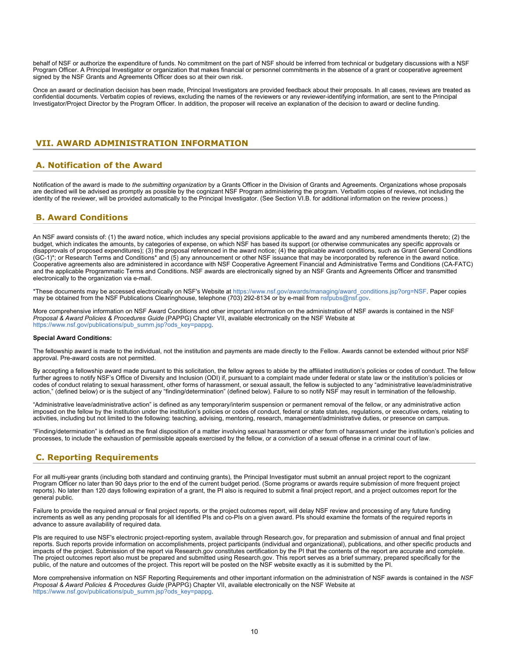behalf of NSF or authorize the expenditure of funds. No commitment on the part of NSF should be inferred from technical or budgetary discussions with a NSF Program Officer. A Principal Investigator or organization that makes financial or personnel commitments in the absence of a grant or cooperative agreement signed by the NSF Grants and Agreements Officer does so at their own risk.

Once an award or declination decision has been made, Principal Investigators are provided feedback about their proposals. In all cases, reviews are treated as confidential documents. Verbatim copies of reviews, excluding the names of the reviewers or any reviewer-identifying information, are sent to the Principal Investigator/Project Director by the Program Officer. In addition, the proposer will receive an explanation of the decision to award or decline funding.

### <span id="page-9-0"></span>**VII. AWARD ADMINISTRATION INFORMATION**

### <span id="page-9-1"></span>**A. Notification of the Award**

Notification of the award is made to *the submitting organization* by a Grants Officer in the Division of Grants and Agreements. Organizations whose proposals are declined will be advised as promptly as possible by the cognizant NSF Program administering the program. Verbatim copies of reviews, not including the identity of the reviewer, will be provided automatically to the Principal Investigator. (See Section VI.B. for additional information on the review process.)

### <span id="page-9-2"></span>**B. Award Conditions**

An NSF award consists of: (1) the award notice, which includes any special provisions applicable to the award and any numbered amendments thereto; (2) the budget, which indicates the amounts, by categories of expense, on which NSF has based its support (or otherwise communicates any specific approvals or disapprovals of proposed expenditures); (3) the proposal referenced in the award notice; (4) the applicable award conditions, such as Grant General Conditions (GC-1)\*; or Research Terms and Conditions\* and (5) any announcement or other NSF issuance that may be incorporated by reference in the award notice. Cooperative agreements also are administered in accordance with NSF Cooperative Agreement Financial and Administrative Terms and Conditions (CA-FATC) and the applicable Programmatic Terms and Conditions. NSF awards are electronically signed by an NSF Grants and Agreements Officer and transmitted electronically to the organization via e-mail.

\*These documents may be accessed electronically on NSF's Website at [https://www.nsf.gov/awards/managing/award\\_conditions.jsp?org=NSF](https://www.nsf.gov/awards/managing/award_conditions.jsp?org=NSF). Paper copies may be obtained from the NSF Publications Clearinghouse, telephone (703) 292-8134 or by e-mail from [nsfpubs@nsf.gov.](mailto:nsfpubs@nsf.gov)

More comprehensive information on NSF Award Conditions and other important information on the administration of NSF awards is contained in the NSF *Proposal & Award Policies & Procedures Guide* (PAPPG) Chapter VII, available electronically on the NSF Website at [https://www.nsf.gov/publications/pub\\_summ.jsp?ods\\_key=pappg.](https://www.nsf.gov/publications/pub_summ.jsp?ods_key=pappg)

#### **Special Award Conditions:**

The fellowship award is made to the individual, not the institution and payments are made directly to the Fellow. Awards cannot be extended without prior NSF approval. Pre-award costs are not permitted.

By accepting a fellowship award made pursuant to this solicitation, the fellow agrees to abide by the affiliated institution's policies or codes of conduct. The fellow further agrees to notify NSF's Office of Diversity and Inclusion (ODI) if, pursuant to a complaint made under federal or state law or the institution's policies or codes of conduct relating to sexual harassment, other forms of harassment, or sexual assault, the fellow is subjected to any "administrative leave/administrative action," (defined below) or is the subject of any "finding/determination" (defined below). Failure to so notify NSF may result in termination of the fellowship.

"Administrative leave/administrative action" is defined as any temporary/interim suspension or permanent removal of the fellow, or any administrative action imposed on the fellow by the institution under the institution's policies or codes of conduct, federal or state statutes, regulations, or executive orders, relating to activities, including but not limited to the following: teaching, advising, mentoring, research, management/administrative duties, or presence on campus.

"Finding/determination" is defined as the final disposition of a matter involving sexual harassment or other form of harassment under the institution's policies and processes, to include the exhaustion of permissible appeals exercised by the fellow, or a conviction of a sexual offense in a criminal court of law.

# <span id="page-9-3"></span>**C. Reporting Requirements**

For all multi-year grants (including both standard and continuing grants), the Principal Investigator must submit an annual project report to the cognizant Program Officer no later than 90 days prior to the end of the current budget period. (Some programs or awards require submission of more frequent project reports). No later than 120 days following expiration of a grant, the PI also is required to submit a final project report, and a project outcomes report for the general public.

Failure to provide the required annual or final project reports, or the project outcomes report, will delay NSF review and processing of any future funding increments as well as any pending proposals for all identified PIs and co-PIs on a given award. PIs should examine the formats of the required reports in advance to assure availability of required data.

PIs are required to use NSF's electronic project-reporting system, available through Research.gov, for preparation and submission of annual and final project reports. Such reports provide information on accomplishments, project participants (individual and organizational), publications, and other specific products and impacts of the project. Submission of the report via Research.gov constitutes certification by the PI that the contents of the report are accurate and complete. The project outcomes report also must be prepared and submitted using Research.gov. This report serves as a brief summary, prepared specifically for the public, of the nature and outcomes of the project. This report will be posted on the NSF website exactly as it is submitted by the PI.

More comprehensive information on NSF Reporting Requirements and other important information on the administration of NSF awards is contained in the *NSF Proposal & Award Policies & Procedures Guide* (PAPPG) Chapter VII, available electronically on the NSF Website at [https://www.nsf.gov/publications/pub\\_summ.jsp?ods\\_key=pappg.](https://www.nsf.gov/publications/pub_summ.jsp?ods_key=pappg)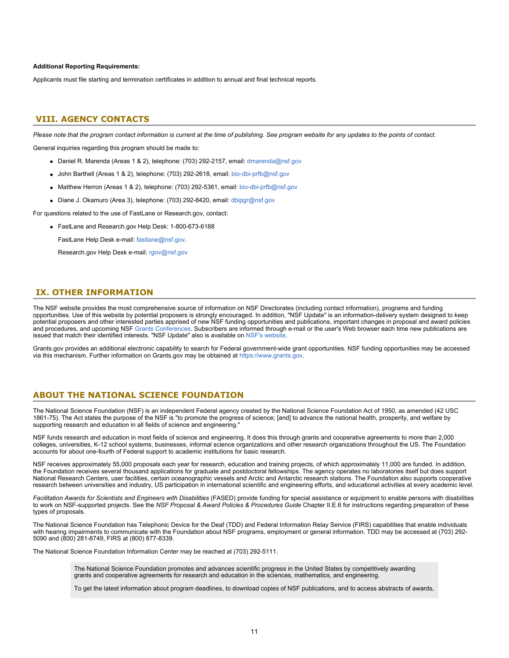#### **Additional Reporting Requirements:**

Applicants must file starting and termination certificates in addition to annual and final technical reports.

### <span id="page-10-0"></span>**VIII. AGENCY CONTACTS**

*Please note that the program contact information is current at the time of publishing. See program website for any updates to the points of contact.*

General inquiries regarding this program should be made to:

- Daniel R. Marenda (Areas 1 & 2), telephone: (703) 292-2157, email: [dmarenda@nsf.gov](mailto:dmarenda@nsf.gov)
- John Barthell (Areas 1 & 2), telephone: (703) 292-2618, email: [bio-dbi-prfb@nsf.gov](mailto:bio-dbi-prfb@nsf.gov)
- Matthew Herron (Areas 1 & 2), telephone: (703) 292-5361, email: [bio-dbi-prfb@nsf.gov](mailto:bio-dbi-prfb@nsf.gov)
- Diane J. Okamuro (Area 3), telephone: (703) 292-8420, email: [dbipgr@nsf.gov](mailto:dbipgr@nsf.gov)

For questions related to the use of FastLane or Research.gov, contact:

FastLane and Research.gov Help Desk: 1-800-673-6188

FastLane Help Desk e-mail: [fastlane@nsf.gov](mailto:fastlane@nsf.gov).

Research.gov Help Desk e-mail: [rgov@nsf.gov](mailto:rgov@nsf.gov)

### <span id="page-10-1"></span>**IX. OTHER INFORMATION**

The NSF website provides the most comprehensive source of information on NSF Directorates (including contact information), programs and funding opportunities. Use of this website by potential proposers is strongly encouraged. In addition, "NSF Update" is an information-delivery system designed to keep potential proposers and other interested parties apprised of new NSF funding opportunities and publications, important changes in proposal and award policies and procedures, and upcoming NSF [Grants Conferences](https://www.nsf.gov/bfa/dias/policy/outreach.jsp). Subscribers are informed through e-mail or the user's Web browser each time new publications are issued that match their identified interests. "NSF Update" also is available on [NSF's website](https://www.nsf.gov/cgi-bin/goodbye?https://public.govdelivery.com/accounts/USNSF/subscriber/new?topic_id=USNSF_179).

Grants.gov provides an additional electronic capability to search for Federal government-wide grant opportunities. NSF funding opportunities may be accessed via this mechanism. Further information on Grants.gov may be obtained at [https://www.grants.gov](https://www.grants.gov/).

### **ABOUT THE NATIONAL SCIENCE FOUNDATION**

The National Science Foundation (NSF) is an independent Federal agency created by the National Science Foundation Act of 1950, as amended (42 USC 1861-75). The Act states the purpose of the NSF is "to promote the progress of science; [and] to advance the national health, prosperity, and welfare by supporting research and education in all fields of science and engineering."

NSF funds research and education in most fields of science and engineering. It does this through grants and cooperative agreements to more than 2,000 colleges, universities, K-12 school systems, businesses, informal science organizations and other research organizations throughout the US. The Foundation accounts for about one-fourth of Federal support to academic institutions for basic research.

NSF receives approximately 55,000 proposals each year for research, education and training projects, of which approximately 11,000 are funded. In addition, the Foundation receives several thousand applications for graduate and postdoctoral fellowships. The agency operates no laboratories itself but does support National Research Centers, user facilities, certain oceanographic vessels and Arctic and Antarctic research stations. The Foundation also supports cooperative research between universities and industry, US participation in international scientific and engineering efforts, and educational activities at every academic level.

*Facilitation Awards for Scientists and Engineers with Disabilities* (FASED) provide funding for special assistance or equipment to enable persons with disabilities to work on NSF-supported projects. See the *NSF Proposal & Award Policies & Procedures Guide* Chapter II.E.6 for instructions regarding preparation of these types of proposals.

The National Science Foundation has Telephonic Device for the Deaf (TDD) and Federal Information Relay Service (FIRS) capabilities that enable individuals with hearing impairments to communicate with the Foundation about NSF programs, employment or general information. TDD may be accessed at (703) 292- 5090 and (800) 281-8749, FIRS at (800) 877-8339.

The National Science Foundation Information Center may be reached at (703) 292-5111.

The National Science Foundation promotes and advances scientific progress in the United States by competitively awarding grants and cooperative agreements for research and education in the sciences, mathematics, and engineering.

To get the latest information about program deadlines, to download copies of NSF publications, and to access abstracts of awards,